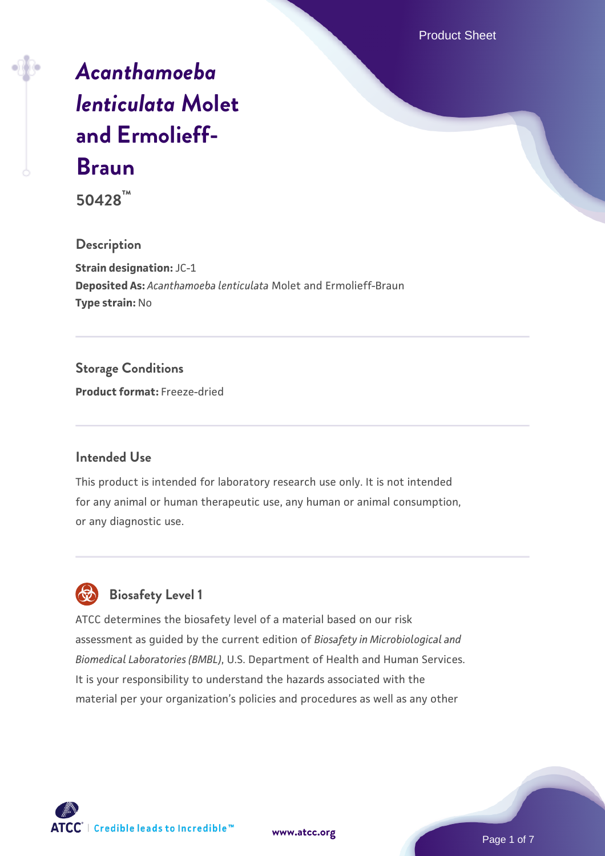Product Sheet

# *[Acanthamoeba](https://www.atcc.org/products/50428) [lenticulata](https://www.atcc.org/products/50428)* **[Molet](https://www.atcc.org/products/50428) [and Ermolieff-](https://www.atcc.org/products/50428)[Braun](https://www.atcc.org/products/50428)**

**50428™**

**Description**

**Strain designation:** JC-1 **Deposited As:** *Acanthamoeba lenticulata* Molet and Ermolieff-Braun **Type strain:** No

**Storage Conditions Product format:** Freeze-dried

#### **Intended Use**

This product is intended for laboratory research use only. It is not intended for any animal or human therapeutic use, any human or animal consumption, or any diagnostic use.



## **Biosafety Level 1**

ATCC determines the biosafety level of a material based on our risk assessment as guided by the current edition of *Biosafety in Microbiological and Biomedical Laboratories (BMBL)*, U.S. Department of Health and Human Services. It is your responsibility to understand the hazards associated with the material per your organization's policies and procedures as well as any other

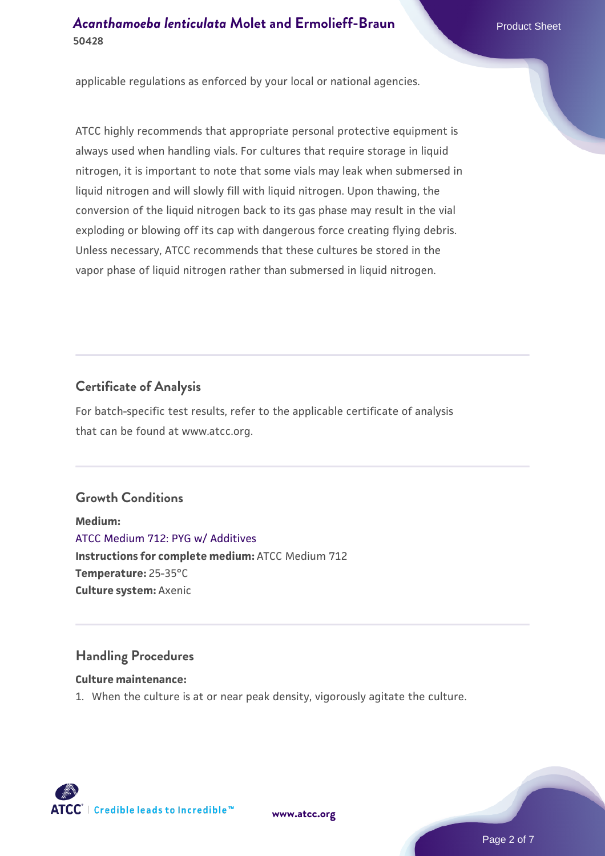## *[Acanthamoeba lenticulata](https://www.atcc.org/products/50428)* [Molet and Ermolieff-Braun](https://www.atcc.org/products/50428)<br>
Product Sheet **50428**

applicable regulations as enforced by your local or national agencies.

ATCC highly recommends that appropriate personal protective equipment is always used when handling vials. For cultures that require storage in liquid nitrogen, it is important to note that some vials may leak when submersed in liquid nitrogen and will slowly fill with liquid nitrogen. Upon thawing, the conversion of the liquid nitrogen back to its gas phase may result in the vial exploding or blowing off its cap with dangerous force creating flying debris. Unless necessary, ATCC recommends that these cultures be stored in the vapor phase of liquid nitrogen rather than submersed in liquid nitrogen.

#### **Certificate of Analysis**

For batch-specific test results, refer to the applicable certificate of analysis that can be found at www.atcc.org.

#### **Growth Conditions**

**Medium:**  [ATCC Medium 712: PYG w/ Additives](https://www.atcc.org/-/media/product-assets/documents/microbial-media-formulations/7/1/2/atcc-medium-712.pdf?rev=7a3975f3ced8477999762ca76164fb74) **Instructions for complete medium:** ATCC Medium 712 **Temperature:** 25-35°C **Culture system:** Axenic

#### **Handling Procedures**

#### **Culture maintenance:**

1. When the culture is at or near peak density, vigorously agitate the culture.



**[www.atcc.org](http://www.atcc.org)**

Page 2 of 7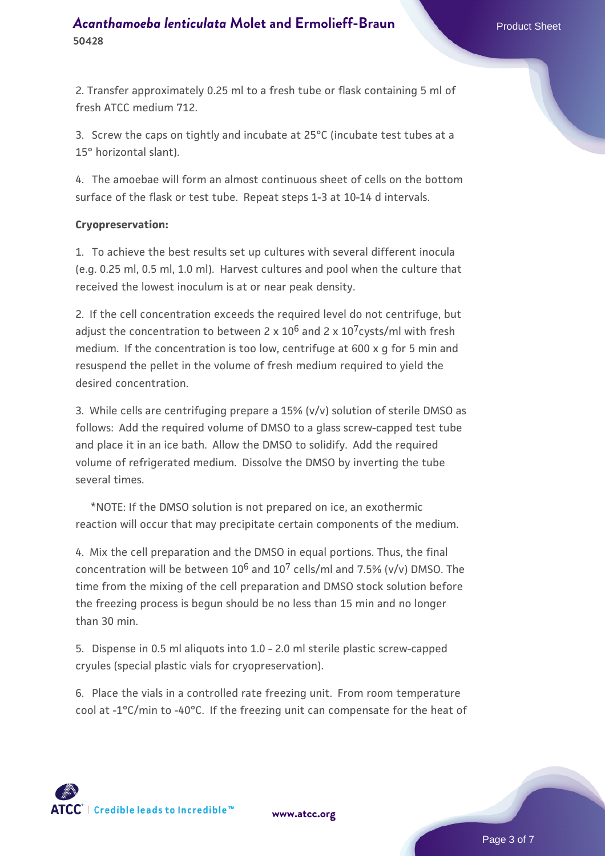## *[Acanthamoeba lenticulata](https://www.atcc.org/products/50428)* [Molet and Ermolieff-Braun](https://www.atcc.org/products/50428)<br>
Product Sheet **50428**

2. Transfer approximately 0.25 ml to a fresh tube or flask containing 5 ml of fresh ATCC medium 712.

3. Screw the caps on tightly and incubate at 25°C (incubate test tubes at a 15° horizontal slant).

4. The amoebae will form an almost continuous sheet of cells on the bottom surface of the flask or test tube. Repeat steps 1-3 at 10-14 d intervals.

#### **Cryopreservation:**

1. To achieve the best results set up cultures with several different inocula (e.g. 0.25 ml, 0.5 ml, 1.0 ml). Harvest cultures and pool when the culture that received the lowest inoculum is at or near peak density.

2. If the cell concentration exceeds the required level do not centrifuge, but adjust the concentration to between 2 x  $10^6$  and 2 x  $10^7$ cysts/ml with fresh medium. If the concentration is too low, centrifuge at 600 x g for 5 min and resuspend the pellet in the volume of fresh medium required to yield the desired concentration.

3. While cells are centrifuging prepare a 15% (v/v) solution of sterile DMSO as follows: Add the required volume of DMSO to a glass screw-capped test tube and place it in an ice bath. Allow the DMSO to solidify. Add the required volume of refrigerated medium. Dissolve the DMSO by inverting the tube several times.

 \*NOTE: If the DMSO solution is not prepared on ice, an exothermic reaction will occur that may precipitate certain components of the medium.

4. Mix the cell preparation and the DMSO in equal portions. Thus, the final concentration will be between  $10^6$  and  $10^7$  cells/ml and 7.5% (v/v) DMSO. The time from the mixing of the cell preparation and DMSO stock solution before the freezing process is begun should be no less than 15 min and no longer than 30 min.

5. Dispense in 0.5 ml aliquots into 1.0 - 2.0 ml sterile plastic screw-capped cryules (special plastic vials for cryopreservation).

6. Place the vials in a controlled rate freezing unit. From room temperature cool at -1°C/min to -40°C. If the freezing unit can compensate for the heat of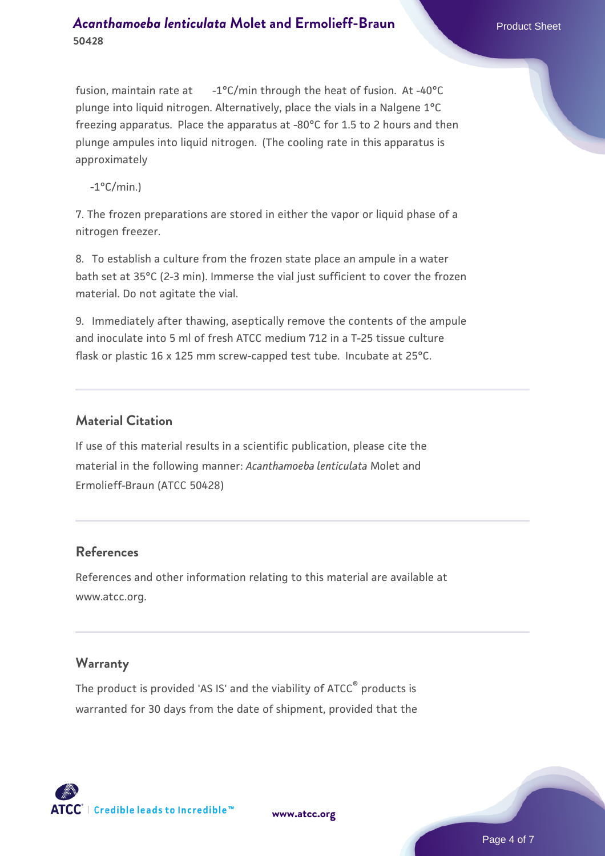## *[Acanthamoeba lenticulata](https://www.atcc.org/products/50428)* [Molet and Ermolieff-Braun](https://www.atcc.org/products/50428)<br>
Product Sheet **50428**

fusion, maintain rate at -1°C/min through the heat of fusion. At -40°C plunge into liquid nitrogen. Alternatively, place the vials in a Nalgene 1°C freezing apparatus. Place the apparatus at -80°C for 1.5 to 2 hours and then plunge ampules into liquid nitrogen. (The cooling rate in this apparatus is approximately

 $-1$ °C/min.)

7. The frozen preparations are stored in either the vapor or liquid phase of a nitrogen freezer.

8. To establish a culture from the frozen state place an ampule in a water bath set at 35°C (2-3 min). Immerse the vial just sufficient to cover the frozen material. Do not agitate the vial.

9. Immediately after thawing, aseptically remove the contents of the ampule and inoculate into 5 ml of fresh ATCC medium 712 in a T-25 tissue culture flask or plastic 16 x 125 mm screw-capped test tube. Incubate at 25°C.

## **Material Citation**

If use of this material results in a scientific publication, please cite the material in the following manner: *Acanthamoeba lenticulata* Molet and Ermolieff-Braun (ATCC 50428)

## **References**

References and other information relating to this material are available at www.atcc.org.

#### **Warranty**

The product is provided 'AS IS' and the viability of ATCC® products is warranted for 30 days from the date of shipment, provided that the

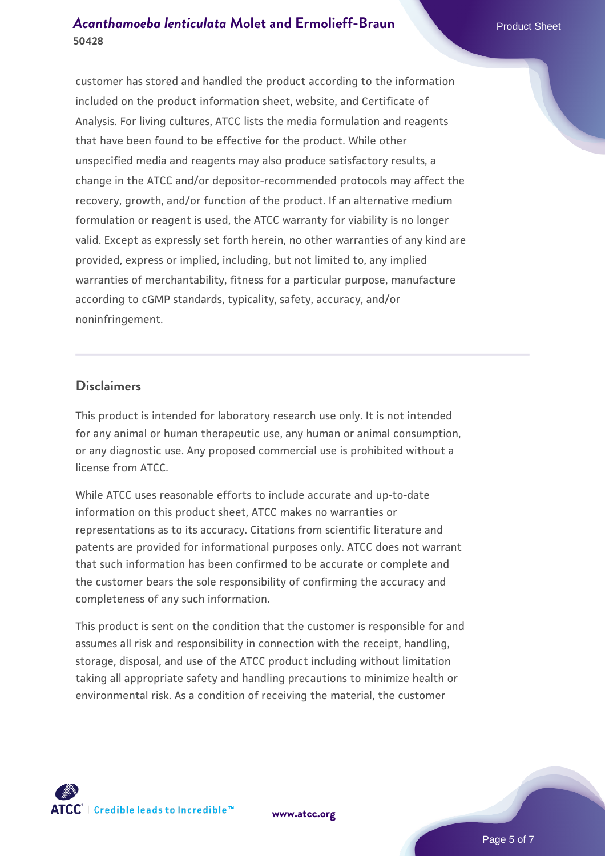customer has stored and handled the product according to the information included on the product information sheet, website, and Certificate of Analysis. For living cultures, ATCC lists the media formulation and reagents that have been found to be effective for the product. While other unspecified media and reagents may also produce satisfactory results, a change in the ATCC and/or depositor-recommended protocols may affect the recovery, growth, and/or function of the product. If an alternative medium formulation or reagent is used, the ATCC warranty for viability is no longer valid. Except as expressly set forth herein, no other warranties of any kind are provided, express or implied, including, but not limited to, any implied warranties of merchantability, fitness for a particular purpose, manufacture according to cGMP standards, typicality, safety, accuracy, and/or noninfringement.

#### **Disclaimers**

This product is intended for laboratory research use only. It is not intended for any animal or human therapeutic use, any human or animal consumption, or any diagnostic use. Any proposed commercial use is prohibited without a license from ATCC.

While ATCC uses reasonable efforts to include accurate and up-to-date information on this product sheet, ATCC makes no warranties or representations as to its accuracy. Citations from scientific literature and patents are provided for informational purposes only. ATCC does not warrant that such information has been confirmed to be accurate or complete and the customer bears the sole responsibility of confirming the accuracy and completeness of any such information.

This product is sent on the condition that the customer is responsible for and assumes all risk and responsibility in connection with the receipt, handling, storage, disposal, and use of the ATCC product including without limitation taking all appropriate safety and handling precautions to minimize health or environmental risk. As a condition of receiving the material, the customer

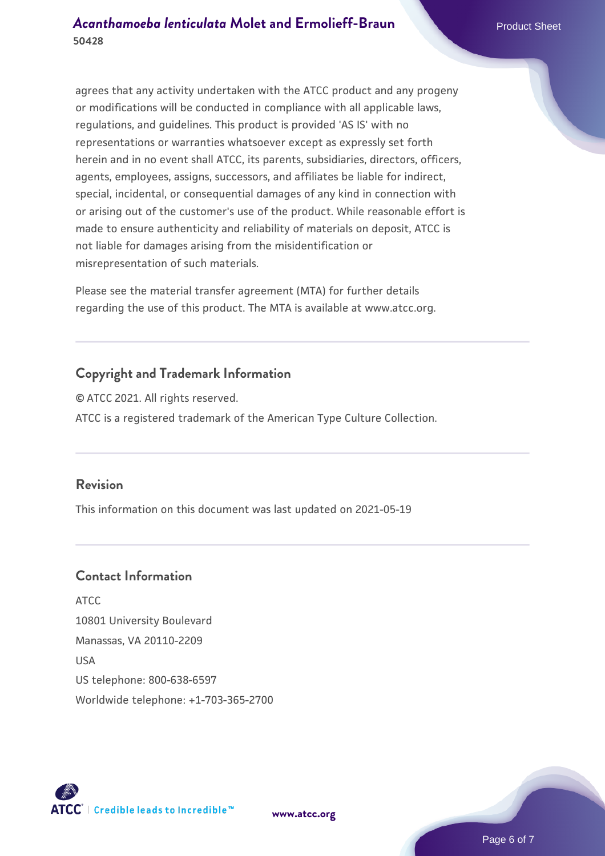agrees that any activity undertaken with the ATCC product and any progeny or modifications will be conducted in compliance with all applicable laws, regulations, and guidelines. This product is provided 'AS IS' with no representations or warranties whatsoever except as expressly set forth herein and in no event shall ATCC, its parents, subsidiaries, directors, officers, agents, employees, assigns, successors, and affiliates be liable for indirect, special, incidental, or consequential damages of any kind in connection with or arising out of the customer's use of the product. While reasonable effort is made to ensure authenticity and reliability of materials on deposit, ATCC is not liable for damages arising from the misidentification or misrepresentation of such materials.

Please see the material transfer agreement (MTA) for further details regarding the use of this product. The MTA is available at www.atcc.org.

## **Copyright and Trademark Information**

© ATCC 2021. All rights reserved. ATCC is a registered trademark of the American Type Culture Collection.

### **Revision**

This information on this document was last updated on 2021-05-19

## **Contact Information**

ATCC 10801 University Boulevard Manassas, VA 20110-2209 USA US telephone: 800-638-6597 Worldwide telephone: +1-703-365-2700



**[www.atcc.org](http://www.atcc.org)**

Page 6 of 7